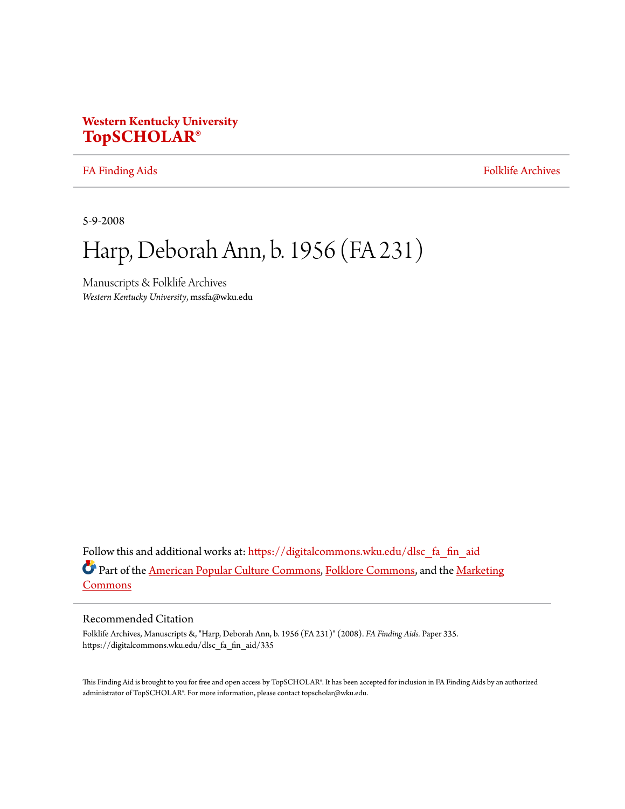# **Western Kentucky University [TopSCHOLAR®](https://digitalcommons.wku.edu/?utm_source=digitalcommons.wku.edu%2Fdlsc_fa_fin_aid%2F335&utm_medium=PDF&utm_campaign=PDFCoverPages)**

[FA Finding Aids](https://digitalcommons.wku.edu/dlsc_fa_fin_aid?utm_source=digitalcommons.wku.edu%2Fdlsc_fa_fin_aid%2F335&utm_medium=PDF&utm_campaign=PDFCoverPages) [Folklife Archives](https://digitalcommons.wku.edu/dlsc_fa?utm_source=digitalcommons.wku.edu%2Fdlsc_fa_fin_aid%2F335&utm_medium=PDF&utm_campaign=PDFCoverPages)

5-9-2008

# Harp, Deborah Ann, b. 1956 (FA 231)

Manuscripts & Folklife Archives *Western Kentucky University*, mssfa@wku.edu

Follow this and additional works at: [https://digitalcommons.wku.edu/dlsc\\_fa\\_fin\\_aid](https://digitalcommons.wku.edu/dlsc_fa_fin_aid?utm_source=digitalcommons.wku.edu%2Fdlsc_fa_fin_aid%2F335&utm_medium=PDF&utm_campaign=PDFCoverPages) Part of the [American Popular Culture Commons](http://network.bepress.com/hgg/discipline/443?utm_source=digitalcommons.wku.edu%2Fdlsc_fa_fin_aid%2F335&utm_medium=PDF&utm_campaign=PDFCoverPages), [Folklore Commons,](http://network.bepress.com/hgg/discipline/321?utm_source=digitalcommons.wku.edu%2Fdlsc_fa_fin_aid%2F335&utm_medium=PDF&utm_campaign=PDFCoverPages) and the [Marketing](http://network.bepress.com/hgg/discipline/638?utm_source=digitalcommons.wku.edu%2Fdlsc_fa_fin_aid%2F335&utm_medium=PDF&utm_campaign=PDFCoverPages) [Commons](http://network.bepress.com/hgg/discipline/638?utm_source=digitalcommons.wku.edu%2Fdlsc_fa_fin_aid%2F335&utm_medium=PDF&utm_campaign=PDFCoverPages)

### Recommended Citation

Folklife Archives, Manuscripts &, "Harp, Deborah Ann, b. 1956 (FA 231)" (2008). *FA Finding Aids.* Paper 335. https://digitalcommons.wku.edu/dlsc\_fa\_fin\_aid/335

This Finding Aid is brought to you for free and open access by TopSCHOLAR®. It has been accepted for inclusion in FA Finding Aids by an authorized administrator of TopSCHOLAR®. For more information, please contact topscholar@wku.edu.